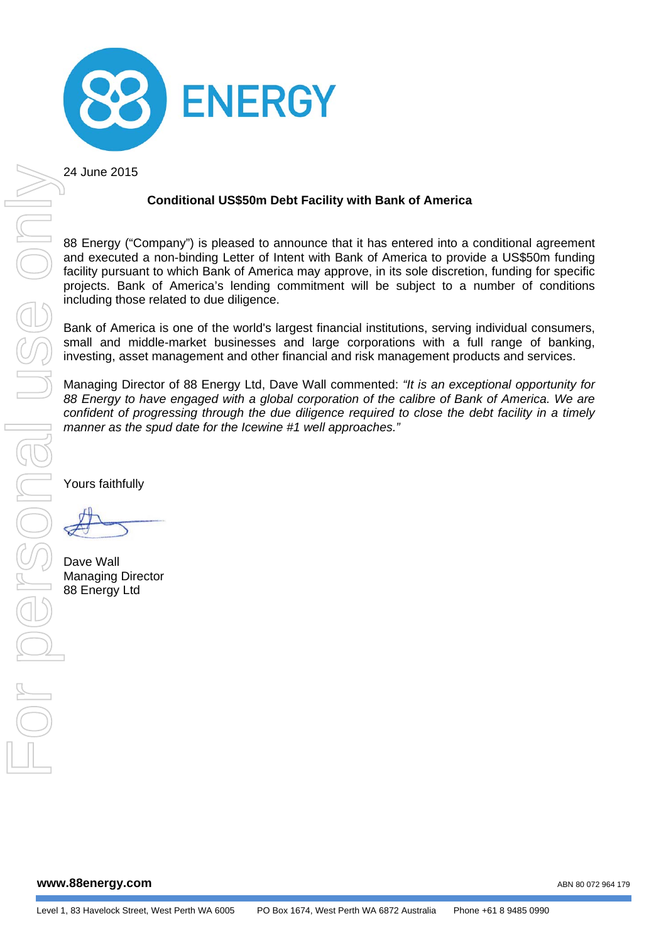

24 June 2015

# **Conditional US\$50m Debt Facility with Bank of America**

88 Energy ("Company") is pleased to announce that it has entered into a conditional agreement and executed a non-binding Letter of Intent with Bank of America to provide a US\$50m funding facility pursuant to which Bank of America may approve, in its sole discretion, funding for specific projects. Bank of America's lending commitment will be subject to a number of conditions including those related to due diligence.

Bank of America is one of the world's largest financial institutions, serving individual consumers, small and middle-market businesses and large corporations with a full range of banking, investing, asset management and other financial and risk management products and services.

Managing Director of 88 Energy Ltd, Dave Wall commented: *"It is an exceptional opportunity for 88 Energy to have engaged with a global corporation of the calibre of Bank of America. We are confident of progressing through the due diligence required to close the debt facility in a timely manner as the spud date for the Icewine #1 well approaches."* 

Yours faithfully

Dave Wall Managing Director 88 Energy Ltd

**www.88energy.com** 

ABN 80 072 964 179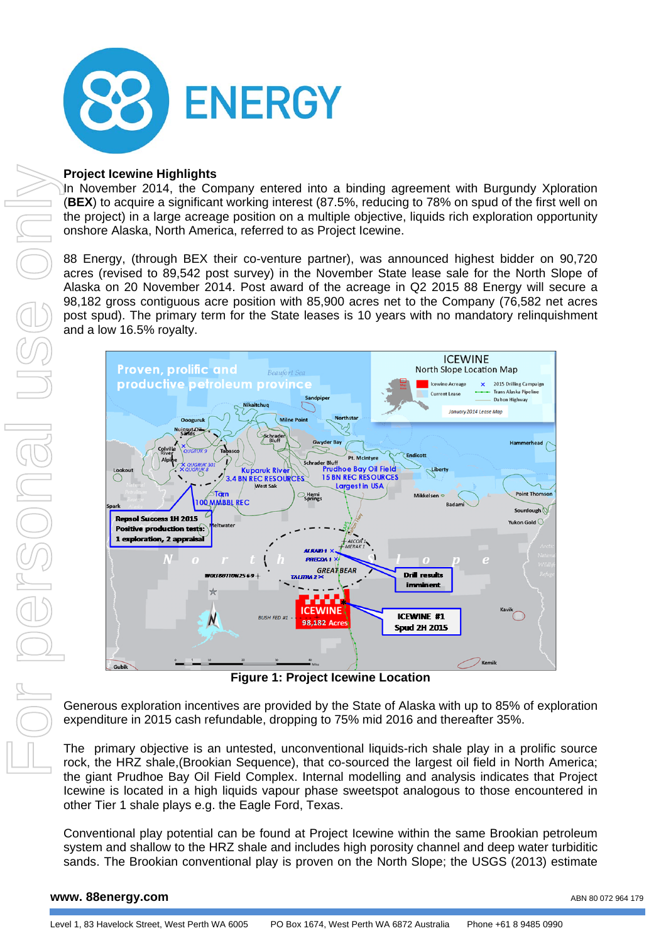

## **Project Icewine Highlights**

In November 2014, the Company entered into a binding agreement with Burgundy Xploration (**BEX**) to acquire a significant working interest (87.5%, reducing to 78% on spud of the first well on the project) in a large acreage position on a multiple objective, liquids rich exploration opportunity onshore Alaska, North America, referred to as Project Icewine.

88 Energy, (through BEX their co-venture partner), was announced highest bidder on 90,720 acres (revised to 89,542 post survey) in the November State lease sale for the North Slope of Alaska on 20 November 2014. Post award of the acreage in Q2 2015 88 Energy will secure a 98,182 gross contiguous acre position with 85,900 acres net to the Company (76,582 net acres post spud). The primary term for the State leases is 10 years with no mandatory relinquishment and a low 16.5% royalty.



**Figure 1: Project Icewine Location** 

Generous exploration incentives are provided by the State of Alaska with up to 85% of exploration expenditure in 2015 cash refundable, dropping to 75% mid 2016 and thereafter 35%.

The primary objective is an untested, unconventional liquids-rich shale play in a prolific source rock, the HRZ shale,(Brookian Sequence), that co-sourced the largest oil field in North America; the giant Prudhoe Bay Oil Field Complex. Internal modelling and analysis indicates that Project Icewine is located in a high liquids vapour phase sweetspot analogous to those encountered in other Tier 1 shale plays e.g. the Eagle Ford, Texas.

Conventional play potential can be found at Project Icewine within the same Brookian petroleum system and shallow to the HRZ shale and includes high porosity channel and deep water turbiditic

#### **www. 88energy.com**